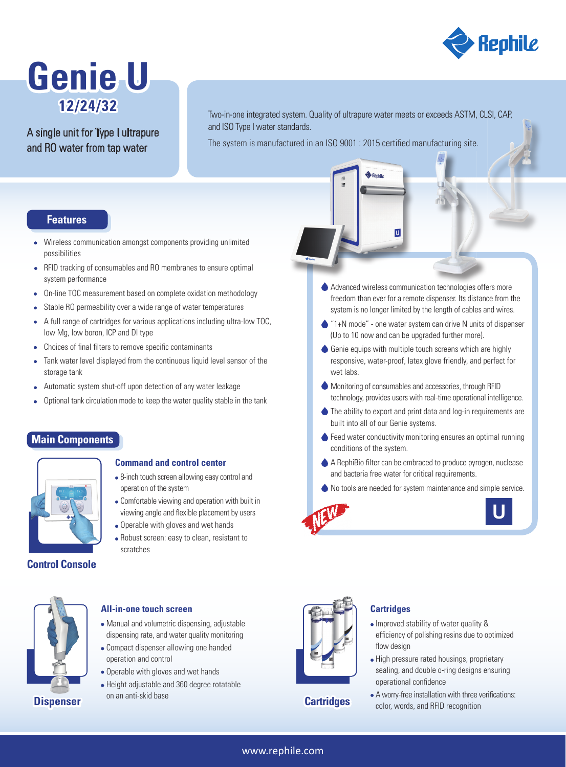

# **Genie U 12/24/32**

## A single unit for Type I ultrapure and RO water from tap water

Two-in-one integrated system. Quality of ultrapure water meets or exceeds ASTM, CLSI, CAP, and ISO Type I water standards.

The system is manufactured in an ISO 9001 : 2015 certified manufacturing site.

## **Features**

- Wireless communication amongst components providing unlimited possibilities
- RFID tracking of consumables and RO membranes to ensure optimal system performance
- On-line TOC measurement based on complete oxidation methodology
- Stable RO permeability over a wide range of water temperatures  $\bullet$
- A full range of cartridges for various applications including ultra-low TOC, low Mg, low boron, ICP and DI type
- Choices of final filters to remove specific contaminants
- Tank water level displayed from the continuous liquid level sensor of the  $\bullet$ storage tank
- Automatic system shut-off upon detection of any water leakage  $\bullet$
- Optional tank circulation mode to keep the water quality stable in the tank

## **Main Components**



#### **Command and control center**

- 8-inch touch screen allowing easy control and operation of the system
- Comfortable viewing and operation with built in viewing angle and flexible placement by users
- Operable with gloves and wet hands
- Robust screen: easy to clean, resistant to scratches

**Control Console**



#### **All-in-one touch screen**

- Manual and volumetric dispensing, adjustable dispensing rate, and water quality monitoring
- Compact dispenser allowing one handed operation and control
- Operable with gloves and wet hands
- Height adjustable and 360 degree rotatable on an anti-skid base **Dispenser**



### **Cartridges**

Advanced wireless communication technologies offers more freedom than ever for a remote dispenser. Its distance from the system is no longer limited by the length of cables and wires.

 $\overline{U}$ 

- **■** "1+N mode" one water system can drive N units of dispenser (Up to 10 now and can be upgraded further more).
- Genie equips with multiple touch screens which are highly responsive, water-proof, latex glove friendly, and perfect for wet labs.
- Monitoring of consumables and accessories, through RFID technology, provides users with real-time operational intelligence.
- The ability to export and print data and log-in requirements are built into all of our Genie systems.
- ◆ Feed water conductivity monitoring ensures an optimal running conditions of the system.
- A RephiBio filter can be embraced to produce pyrogen, nuclease and bacteria free water for critical requirements.
- No tools are needed for system maintenance and simple service.







- High pressure rated housings, proprietary sealing, and double o-ring designs ensuring operational confidence
- A worry-free installation with three verifications: color, words, and RFID recognition